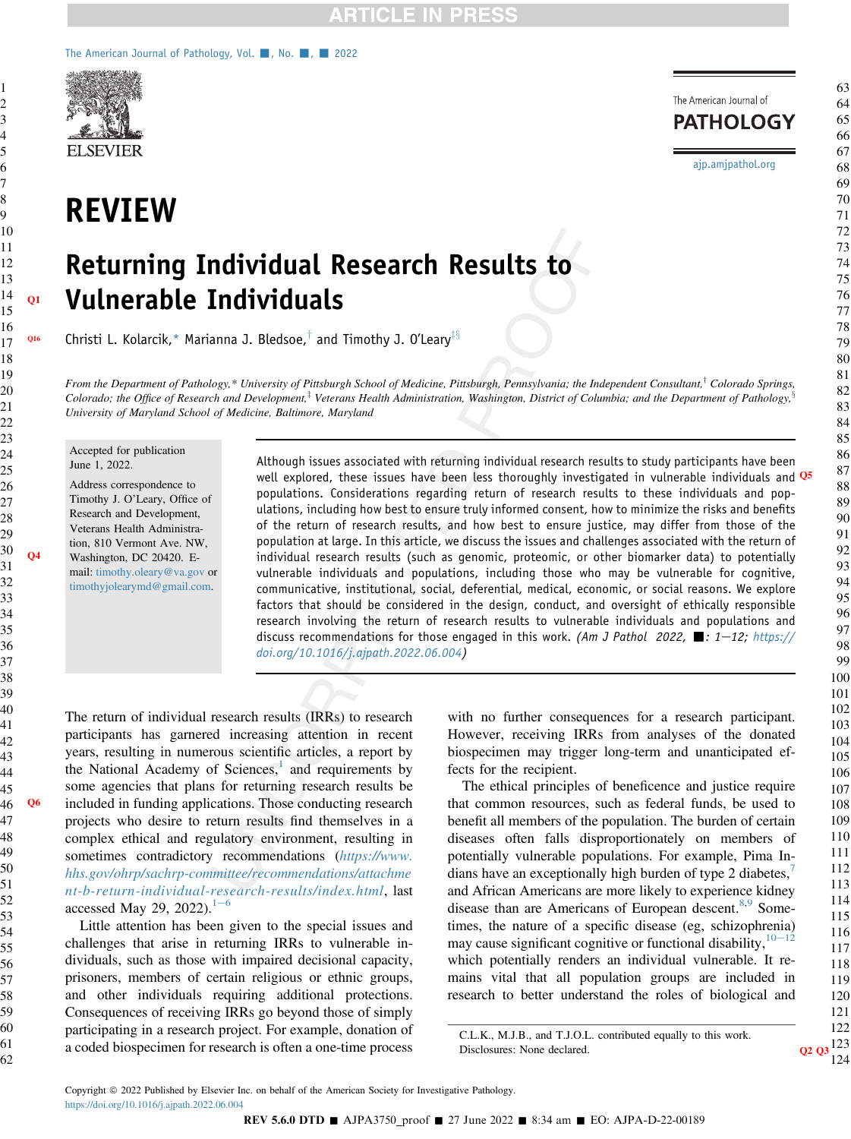#### [The American Journal of Pathology, Vol.](https://doi.org/10.1016/j.ajpath.2022.06.004)  $\blacksquare$ , No.  $\blacksquare$ , 2022



REVIEW

# Returning Individual Research Results to Q1 Vulnerable Individuals

**Q16** Christi L. Kolarcik,\* Marianna J. Bledsoe,<sup>†</sup> and Timothy J. O'Leary<sup>‡§</sup>

From the Department of Pathology,\* University of Pittsburgh School of Medicine, Pittsburgh, Pennsylvania; the Independent Consultant,<sup>†</sup> Colorado Springs, Colorado; the Office of Research and Development,<sup>†</sup> Veterans Health Administration, Washington, District of Columbia; and the Department of Pathology,<sup>§</sup> University of Maryland School of Medicine, Baltimore, Maryland

Accepted for publication June 1, 2022.

Address correspondence to Timothy J. O'Leary, Office of Research and Development, Veterans Health Administration, 810 Vermont Ave. NW, Q4 Washington, DC 20420. Email: [timothy.oleary@va.gov](mailto:timothy.oleary@va.gov) or [timothyjolearymd@gmail.com.](mailto:timothyjolearymd@gmail.com)

Although issues associated with returning individual research results to study participants have been well explored, these issues have been less thoroughly investigated in vulnerable individuals and  $Q5$ populations. Considerations regarding return of research results to these individuals and populations, including how best to ensure truly informed consent, how to minimize the risks and benefits of the return of research results, and how best to ensure justice, may differ from those of the population at large. In this article, we discuss the issues and challenges associated with the return of individual research results (such as genomic, proteomic, or other biomarker data) to potentially vulnerable individuals and populations, including those who may be vulnerable for cognitive, communicative, institutional, social, deferential, medical, economic, or social reasons. We explore factors that should be considered in the design, conduct, and oversight of ethically responsible research involving the return of research results to vulnerable individuals and populations and discuss recommendations for those engaged in this work. (Am J Pathol 2022,  $\blacksquare$ : 1-12; [https://](https://doi.org/10.1016/j.ajpath.2022.06.004) [doi.org/10.1016/j.ajpath.2022.06.004\)](https://doi.org/10.1016/j.ajpath.2022.06.004)

The return of individual research results (IRRs) to research participants has garnered increasing attention in recent years, resulting in numerous scientific articles, a report by the National Academy of Sciences, $\frac{1}{1}$  $\frac{1}{1}$  $\frac{1}{1}$  and requirements by some agencies that plans for returning research results be Q6 included in funding applications. Those conducting research projects who desire to return results find themselves in a complex ethical and regulatory environment, resulting in sometimes contradictory recommendations ([https://www.](https://www.hhs.gov/ohrp/sachrp-committee/recommendations/attachment-b-return-individual-research-results/index.html) [hhs.gov/ohrp/sachrp-committee/recommendations/attachme](https://www.hhs.gov/ohrp/sachrp-committee/recommendations/attachment-b-return-individual-research-results/index.html) [nt-b-return-individual-research-results/index.html](https://www.hhs.gov/ohrp/sachrp-committee/recommendations/attachment-b-return-individual-research-results/index.html), last accessed May 29, 2022).<sup>[1](#page-9-0)-[6](#page-9-0)</sup>

Little attention has been given to the special issues and challenges that arise in returning IRRs to vulnerable individuals, such as those with impaired decisional capacity, prisoners, members of certain religious or ethnic groups, and other individuals requiring additional protections. Consequences of receiving IRRs go beyond those of simply participating in a research project. For example, donation of a coded biospecimen for research is often a one-time process

with no further consequences for a research participant. However, receiving IRRs from analyses of the donated biospecimen may trigger long-term and unanticipated effects for the recipient.

The ethical principles of beneficence and justice require that common resources, such as federal funds, be used to benefit all members of the population. The burden of certain diseases often falls disproportionately on members of potentially vulnerable populations. For example, Pima Indians have an exceptionally high burden of type 2 diabetes, and African Americans are more likely to experience kidney disease than are Americans of European descent.<sup>[8,](#page-10-1)[9](#page-10-2)</sup> Sometimes, the nature of a specific disease (eg, schizophrenia) may cause significant cognitive or functional disability,  $10-12$  $10-12$  $10-12$ which potentially renders an individual vulnerable. It remains vital that all population groups are included in research to better understand the roles of biological and

C.L.K., M.J.B., and T.J.O.L. contributed equally to this work. Disclosures: None declared.

[ajp.amjpathol.org](http://ajp.amjpathol.org)

The American Journal of **PATHOLOGY**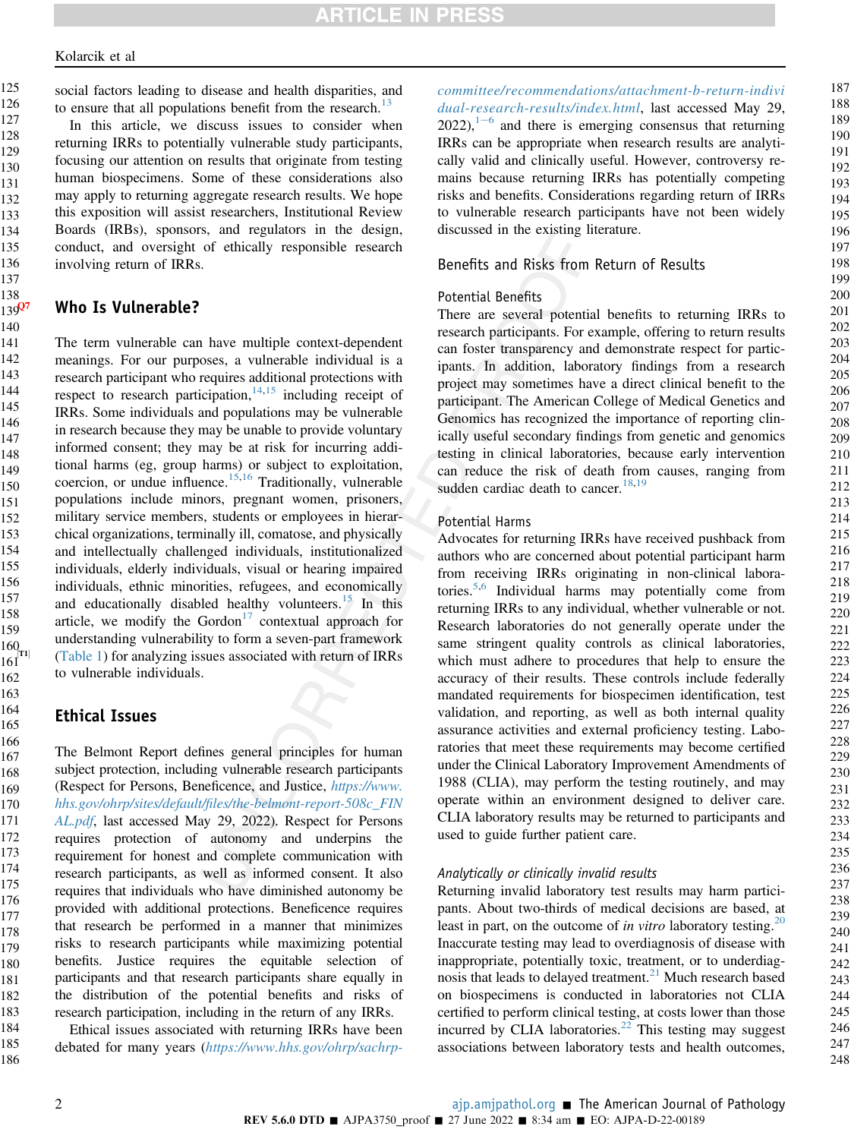social factors leading to disease and health disparities, and to ensure that all populations benefit from the research.<sup>[13](#page-10-4)</sup>

In this article, we discuss issues to consider when returning IRRs to potentially vulnerable study participants, focusing our attention on results that originate from testing human biospecimens. Some of these considerations also may apply to returning aggregate research results. We hope this exposition will assist researchers, Institutional Review Boards (IRBs), sponsors, and regulators in the design, conduct, and oversight of ethically responsible research involving return of IRRs.

# Who Is Vulnerable?

The term vulnerable can have multiple context-dependent meanings. For our purposes, a vulnerable individual is a research participant who requires additional protections with respect to research participation, $14,15$  $14,15$  including receipt of IRRs. Some individuals and populations may be vulnerable in research because they may be unable to provide voluntary informed consent; they may be at risk for incurring additional harms (eg, group harms) or subject to exploitation, coercion, or undue influence.<sup>[15](#page-10-6)[,16](#page-10-7)</sup> Traditionally, vulnerable populations include minors, pregnant women, prisoners, military service members, students or employees in hierarchical organizations, terminally ill, comatose, and physically and intellectually challenged individuals, institutionalized individuals, elderly individuals, visual or hearing impaired individuals, ethnic minorities, refugees, and economically and educationally disabled healthy volunteers.<sup>[15](#page-10-6)</sup> In this article, we modify the Gordon $17$  contextual approach for understanding vulnerability to form a seven-part framework  $[T<sup>T1</sup>]$  [\(Table 1](#page-2-0)) for analyzing issues associated with return of IRRs to vulnerable individuals.

## Ethical Issues

The Belmont Report defines general principles for human subject protection, including vulnerable research participants (Respect for Persons, Beneficence, and Justice, [https://www.](https://www.hhs.gov/ohrp/sites/default/files/the-belmont-report-508c_FINAL.pdf) hhs.gov/ohrp/sites/default/fi[les/the-belmont-report-508c\\_FIN](https://www.hhs.gov/ohrp/sites/default/files/the-belmont-report-508c_FINAL.pdf) [AL.pdf](https://www.hhs.gov/ohrp/sites/default/files/the-belmont-report-508c_FINAL.pdf), last accessed May 29, 2022). Respect for Persons requires protection of autonomy and underpins the requirement for honest and complete communication with research participants, as well as informed consent. It also requires that individuals who have diminished autonomy be provided with additional protections. Beneficence requires that research be performed in a manner that minimizes risks to research participants while maximizing potential benefits. Justice requires the equitable selection of participants and that research participants share equally in the distribution of the potential benefits and risks of research participation, including in the return of any IRRs. 166 167 168 169 170 171 172 173 174 175 176 177 178 179 180 181 182 183

Ethical issues associated with returning IRRs have been debated for many years ([https://www.hhs.gov/ohrp/sachrp-](https://www.hhs.gov/ohrp/sachrp-committee/recommendations/attachment-b-return-individual-research-results/index.html) [committee/recommendations/attachment-b-return-indivi](https://www.hhs.gov/ohrp/sachrp-committee/recommendations/attachment-b-return-individual-research-results/index.html) [dual-research-results/index.html](https://www.hhs.gov/ohrp/sachrp-committee/recommendations/attachment-b-return-individual-research-results/index.html), last accessed May 29,  $2022$ ),  $1-6$  $1-6$  $1-6$  and there is emerging consensus that returning IRRs can be appropriate when research results are analytically valid and clinically useful. However, controversy remains because returning IRRs has potentially competing risks and benefits. Considerations regarding return of IRRs to vulnerable research participants have not been widely discussed in the existing literature.

# Benefits and Risks from Return of Results

## Potential Benefits

There are several potential benefits to returning IRRs to research participants. For example, offering to return results can foster transparency and demonstrate respect for participants. In addition, laboratory findings from a research project may sometimes have a direct clinical benefit to the participant. The American College of Medical Genetics and Genomics has recognized the importance of reporting clinically useful secondary findings from genetic and genomics testing in clinical laboratories, because early intervention can reduce the risk of death from causes, ranging from sudden cardiac death to cancer.  $18,19$  $18,19$ 

#### Potential Harms

Advocates for returning IRRs have received pushback from authors who are concerned about potential participant harm from receiving IRRs originating in non-clinical laboratories.[5,](#page-10-11)[6](#page-10-12) Individual harms may potentially come from returning IRRs to any individual, whether vulnerable or not. Research laboratories do not generally operate under the same stringent quality controls as clinical laboratories, which must adhere to procedures that help to ensure the accuracy of their results. These controls include federally mandated requirements for biospecimen identification, test validation, and reporting, as well as both internal quality assurance activities and external proficiency testing. Laboratories that meet these requirements may become certified under the Clinical Laboratory Improvement Amendments of 1988 (CLIA), may perform the testing routinely, and may operate within an environment designed to deliver care. CLIA laboratory results may be returned to participants and used to guide further patient care.

#### Analytically or clinically invalid results

Returning invalid laboratory test results may harm participants. About two-thirds of medical decisions are based, at least in part, on the outcome of in vitro laboratory testing.<sup>20</sup> Inaccurate testing may lead to overdiagnosis of disease with inappropriate, potentially toxic, treatment, or to underdiag-nosis that leads to delayed treatment.<sup>[21](#page-10-14)</sup> Much research based on biospecimens is conducted in laboratories not CLIA certified to perform clinical testing, at costs lower than those incurred by CLIA laboratories.<sup>[22](#page-10-15)</sup> This testing may suggest associations between laboratory tests and health outcomes, 187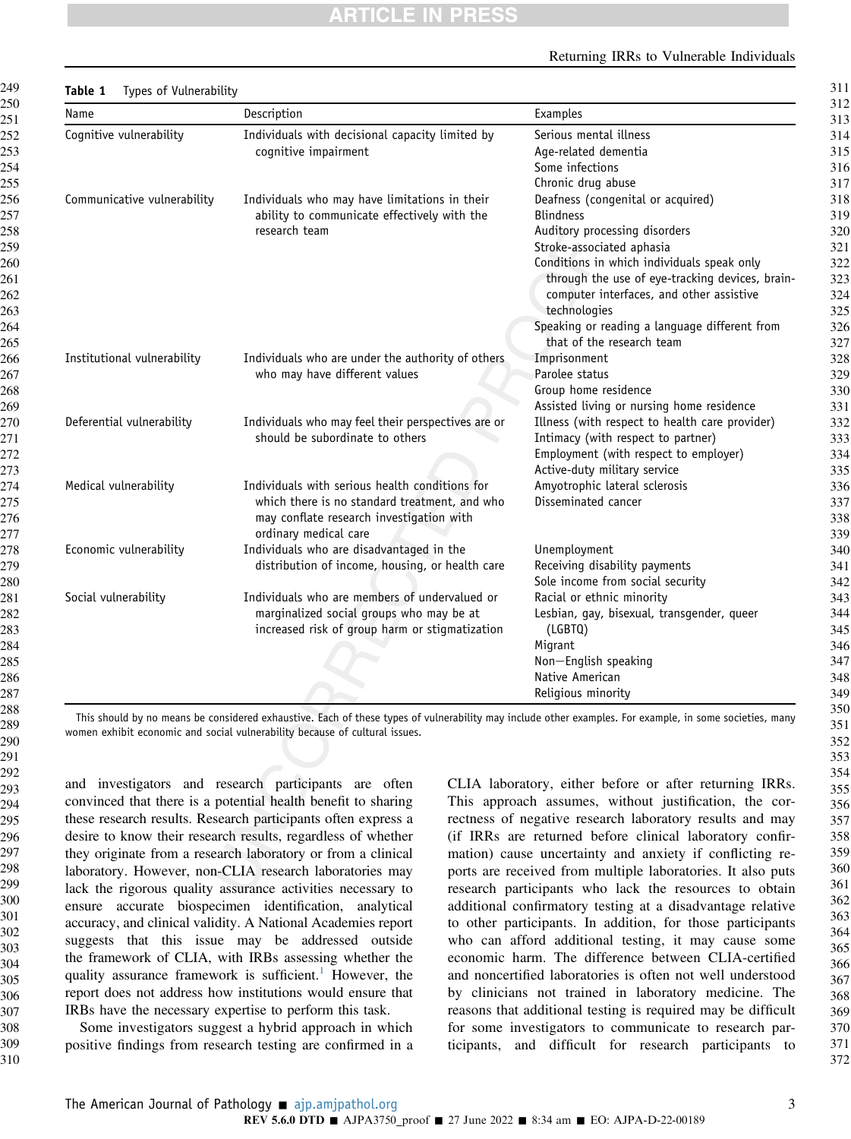#### Returning IRRs to Vulnerable Individuals

311

<span id="page-2-0"></span>

| Name                        | Description                                                                                                                                                          | Examples                                        |
|-----------------------------|----------------------------------------------------------------------------------------------------------------------------------------------------------------------|-------------------------------------------------|
| Cognitive vulnerability     | Individuals with decisional capacity limited by<br>cognitive impairment                                                                                              | Serious mental illness                          |
|                             |                                                                                                                                                                      | Age-related dementia                            |
|                             |                                                                                                                                                                      | Some infections                                 |
|                             |                                                                                                                                                                      | Chronic drug abuse                              |
| Communicative vulnerability | Individuals who may have limitations in their<br>ability to communicate effectively with the<br>research team                                                        | Deafness (congenital or acquired)               |
|                             |                                                                                                                                                                      | <b>Blindness</b>                                |
|                             |                                                                                                                                                                      | Auditory processing disorders                   |
|                             |                                                                                                                                                                      | Stroke-associated aphasia                       |
|                             |                                                                                                                                                                      | Conditions in which individuals speak only      |
|                             |                                                                                                                                                                      | through the use of eye-tracking devices, brain- |
|                             |                                                                                                                                                                      | computer interfaces, and other assistive        |
|                             |                                                                                                                                                                      | technologies                                    |
|                             |                                                                                                                                                                      | Speaking or reading a language different from   |
|                             |                                                                                                                                                                      | that of the research team                       |
| Institutional vulnerability | Individuals who are under the authority of others<br>who may have different values                                                                                   | Imprisonment                                    |
|                             |                                                                                                                                                                      | Parolee status                                  |
|                             |                                                                                                                                                                      | Group home residence                            |
|                             |                                                                                                                                                                      | Assisted living or nursing home residence       |
| Deferential vulnerability   | Individuals who may feel their perspectives are or<br>should be subordinate to others                                                                                | Illness (with respect to health care provider)  |
|                             |                                                                                                                                                                      | Intimacy (with respect to partner)              |
|                             |                                                                                                                                                                      | Employment (with respect to employer)           |
|                             |                                                                                                                                                                      | Active-duty military service                    |
| Medical vulnerability       | Individuals with serious health conditions for<br>which there is no standard treatment, and who<br>may conflate research investigation with<br>ordinary medical care | Amyotrophic lateral sclerosis                   |
|                             |                                                                                                                                                                      | Disseminated cancer                             |
|                             |                                                                                                                                                                      |                                                 |
|                             |                                                                                                                                                                      |                                                 |
| Economic vulnerability      | Individuals who are disadvantaged in the<br>distribution of income, housing, or health care                                                                          | Unemployment                                    |
|                             |                                                                                                                                                                      | Receiving disability payments                   |
|                             |                                                                                                                                                                      | Sole income from social security                |
| Social vulnerability        | Individuals who are members of undervalued or                                                                                                                        | Racial or ethnic minority                       |
|                             | marginalized social groups who may be at<br>increased risk of group harm or stigmatization                                                                           | Lesbian, gay, bisexual, transgender, queer      |
|                             |                                                                                                                                                                      | (LGBTQ)                                         |
|                             |                                                                                                                                                                      | Migrant                                         |
|                             |                                                                                                                                                                      | Non-English speaking                            |
|                             |                                                                                                                                                                      | Native American                                 |
|                             |                                                                                                                                                                      | Religious minority                              |

This should by no means be considered exhaustive. Each of these types of vulnerability may include other examples. For example, in some societies, many women exhibit economic and social vulnerability because of cultural issues.

and investigators and research participants are often convinced that there is a potential health benefit to sharing these research results. Research participants often express a desire to know their research results, regardless of whether they originate from a research laboratory or from a clinical laboratory. However, non-CLIA research laboratories may lack the rigorous quality assurance activities necessary to ensure accurate biospecimen identification, analytical accuracy, and clinical validity. A National Academies report suggests that this issue may be addressed outside the framework of CLIA, with IRBs assessing whether the quality assurance framework is sufficient.<sup>[1](#page-9-0)</sup> However, the report does not address how institutions would ensure that IRBs have the necessary expertise to perform this task.

Some investigators suggest a hybrid approach in which positive findings from research testing are confirmed in a CLIA laboratory, either before or after returning IRRs. This approach assumes, without justification, the correctness of negative research laboratory results and may (if IRRs are returned before clinical laboratory confirmation) cause uncertainty and anxiety if conflicting reports are received from multiple laboratories. It also puts research participants who lack the resources to obtain additional confirmatory testing at a disadvantage relative to other participants. In addition, for those participants who can afford additional testing, it may cause some economic harm. The difference between CLIA-certified and noncertified laboratories is often not well understood by clinicians not trained in laboratory medicine. The reasons that additional testing is required may be difficult for some investigators to communicate to research participants, and difficult for research participants to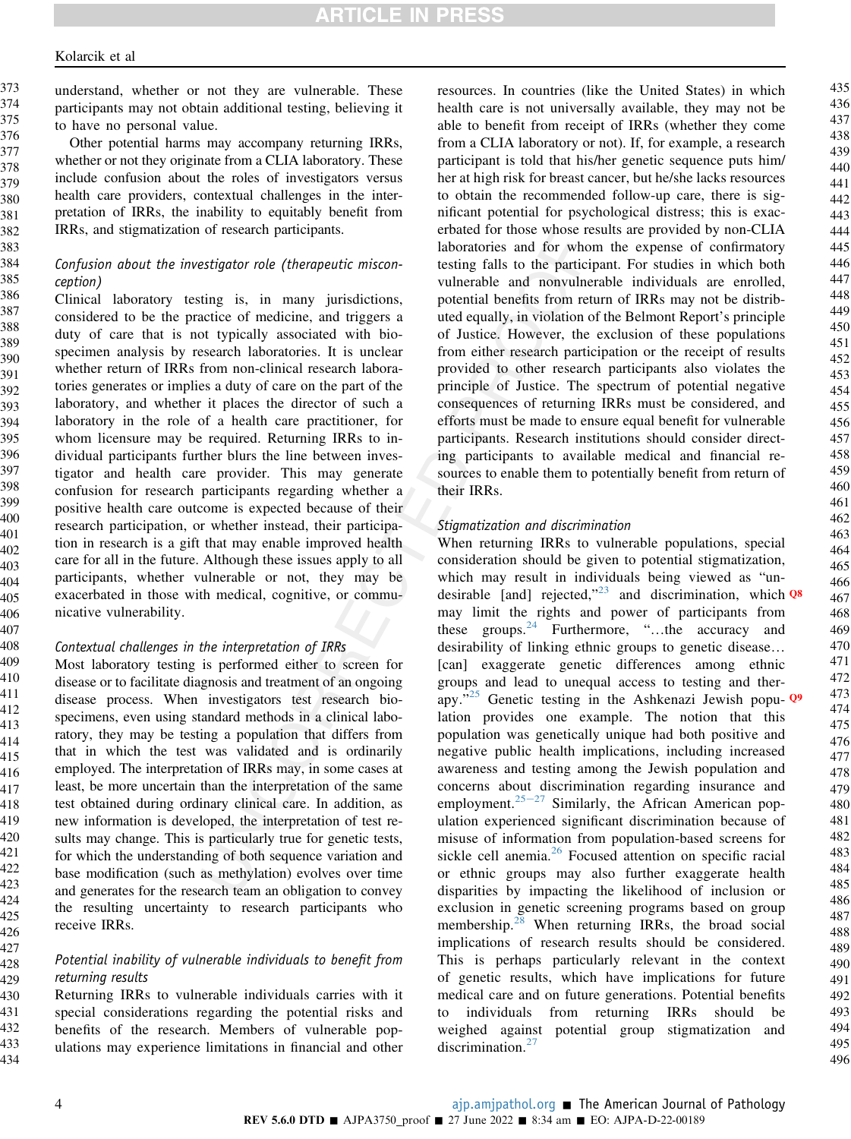407 408

427 428 429

understand, whether or not they are vulnerable. These participants may not obtain additional testing, believing it to have no personal value. 373 374 375 376

Other potential harms may accompany returning IRRs, whether or not they originate from a CLIA laboratory. These include confusion about the roles of investigators versus health care providers, contextual challenges in the interpretation of IRRs, the inability to equitably benefit from IRRs, and stigmatization of research participants. 377 378 379 380 381 382

#### Confusion about the investigator role (therapeutic misconception)

Clinical laboratory testing is, in many jurisdictions, considered to be the practice of medicine, and triggers a duty of care that is not typically associated with biospecimen analysis by research laboratories. It is unclear whether return of IRRs from non-clinical research laboratories generates or implies a duty of care on the part of the laboratory, and whether it places the director of such a laboratory in the role of a health care practitioner, for whom licensure may be required. Returning IRRs to individual participants further blurs the line between investigator and health care provider. This may generate confusion for research participants regarding whether a positive health care outcome is expected because of their research participation, or whether instead, their participation in research is a gift that may enable improved health care for all in the future. Although these issues apply to all participants, whether vulnerable or not, they may be exacerbated in those with medical, cognitive, or communicative vulnerability. 386 387 388 389 390 391 392 393 394 395 396 397 398 399 400 401 402 403 404 405 406

#### Contextual challenges in the interpretation of IRRs

Most laboratory testing is performed either to screen for disease or to facilitate diagnosis and treatment of an ongoing disease process. When investigators test research biospecimens, even using standard methods in a clinical laboratory, they may be testing a population that differs from that in which the test was validated and is ordinarily employed. The interpretation of IRRs may, in some cases at least, be more uncertain than the interpretation of the same test obtained during ordinary clinical care. In addition, as new information is developed, the interpretation of test results may change. This is particularly true for genetic tests, for which the understanding of both sequence variation and base modification (such as methylation) evolves over time and generates for the research team an obligation to convey the resulting uncertainty to research participants who receive IRRs. 409 410 411 412 413 414 415 416 417 418 419 420 421 422 423 424 425 426

#### Potential inability of vulnerable individuals to benefit from returning results

Returning IRRs to vulnerable individuals carries with it special considerations regarding the potential risks and benefits of the research. Members of vulnerable populations may experience limitations in financial and other 430 431 432 433 434

resources. In countries (like the United States) in which health care is not universally available, they may not be able to benefit from receipt of IRRs (whether they come from a CLIA laboratory or not). If, for example, a research participant is told that his/her genetic sequence puts him/ her at high risk for breast cancer, but he/she lacks resources to obtain the recommended follow-up care, there is significant potential for psychological distress; this is exacerbated for those whose results are provided by non-CLIA laboratories and for whom the expense of confirmatory testing falls to the participant. For studies in which both vulnerable and nonvulnerable individuals are enrolled, potential benefits from return of IRRs may not be distributed equally, in violation of the Belmont Report's principle of Justice. However, the exclusion of these populations from either research participation or the receipt of results provided to other research participants also violates the principle of Justice. The spectrum of potential negative consequences of returning IRRs must be considered, and efforts must be made to ensure equal benefit for vulnerable participants. Research institutions should consider directing participants to available medical and financial resources to enable them to potentially benefit from return of their IRRs.

#### Stigmatization and discrimination

When returning IRRs to vulnerable populations, special consideration should be given to potential stigmatization, which may result in individuals being viewed as "un-desirable [and] rejected,"<sup>[23](#page-10-16)</sup> and discrimination, which  $Q^8$ may limit the rights and power of participants from these groups.<sup>[24](#page-10-17)</sup> Furthermore, "...the accuracy and desirability of linking ethnic groups to genetic disease. [can] exaggerate genetic differences among ethnic groups and lead to unequal access to testing and therapy."[25](#page-10-18) Genetic testing in the Ashkenazi Jewish popu- Q9 lation provides one example. The notion that this population was genetically unique had both positive and negative public health implications, including increased awareness and testing among the Jewish population and concerns about discrimination regarding insurance and employment. $25-27$  $25-27$  $25-27$  Similarly, the African American population experienced significant discrimination because of misuse of information from population-based screens for sickle cell anemia.<sup>[26](#page-10-19)</sup> Focused attention on specific racial or ethnic groups may also further exaggerate health disparities by impacting the likelihood of inclusion or exclusion in genetic screening programs based on group membership.<sup>[28](#page-10-20)</sup> When returning IRRs, the broad social implications of research results should be considered. This is perhaps particularly relevant in the context of genetic results, which have implications for future medical care and on future generations. Potential benefits to individuals from returning IRRs should be weighed against potential group stigmatization and discrimination.<sup>[27](#page-10-21)</sup>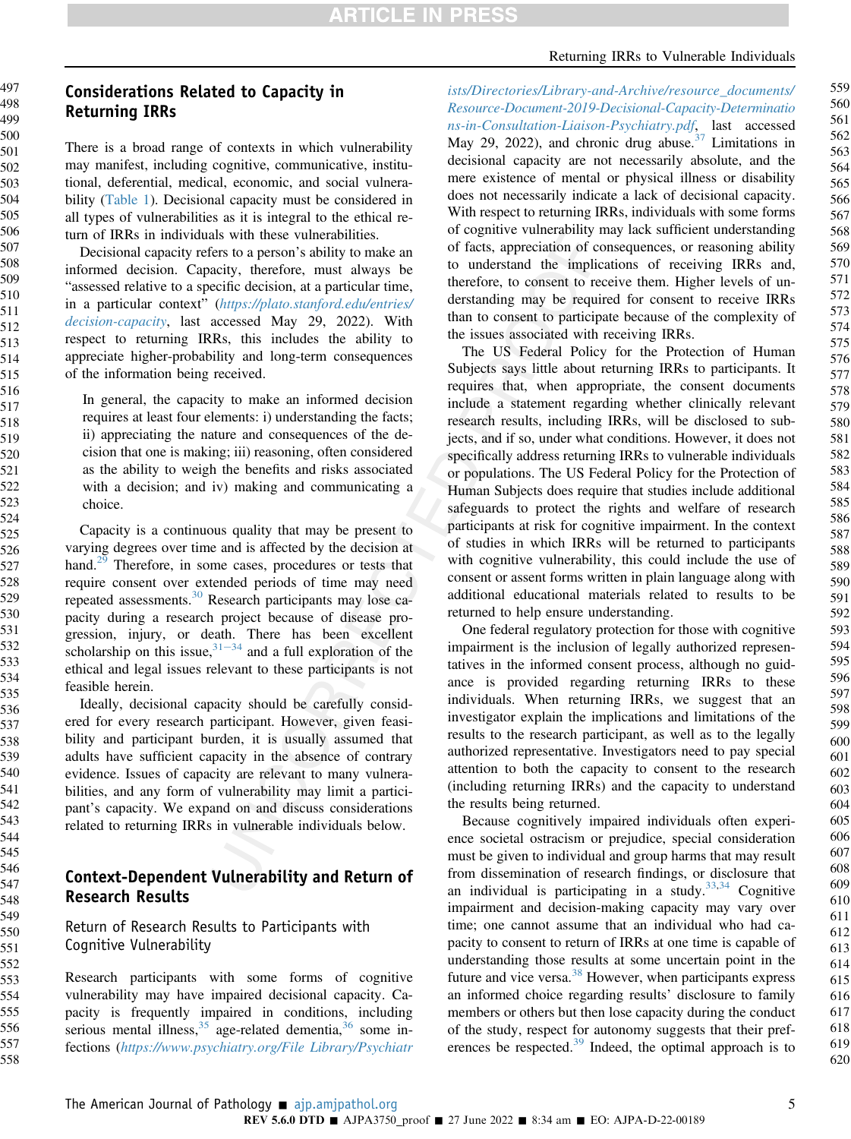# Considerations Related to Capacity in Returning IRRs

There is a broad range of contexts in which vulnerability may manifest, including cognitive, communicative, institutional, deferential, medical, economic, and social vulnerability [\(Table 1](#page-2-0)). Decisional capacity must be considered in all types of vulnerabilities as it is integral to the ethical return of IRRs in individuals with these vulnerabilities.

Decisional capacity refers to a person's ability to make an informed decision. Capacity, therefore, must always be "assessed relative to a specific decision, at a particular time, in a particular context" ([https://plato.stanford.edu/entries/](https://plato.stanford.edu/entries/decision-capacity) [decision-capacity](https://plato.stanford.edu/entries/decision-capacity), last accessed May 29, 2022). With respect to returning IRRs, this includes the ability to appreciate higher-probability and long-term consequences of the information being received.

In general, the capacity to make an informed decision requires at least four elements: i) understanding the facts; ii) appreciating the nature and consequences of the decision that one is making; iii) reasoning, often considered as the ability to weigh the benefits and risks associated with a decision; and iv) making and communicating a choice.

Capacity is a continuous quality that may be present to varying degrees over time and is affected by the decision at hand.<sup>[29](#page-10-22)</sup> Therefore, in some cases, procedures or tests that require consent over extended periods of time may need repeated assessments.[30](#page-10-23) Research participants may lose capacity during a research project because of disease progression, injury, or death. There has been excellent scholarship on this issue,  $31-34$  $31-34$  $31-34$  and a full exploration of the ethical and legal issues relevant to these participants is not feasible herein.

Ideally, decisional capacity should be carefully considered for every research participant. However, given feasibility and participant burden, it is usually assumed that adults have sufficient capacity in the absence of contrary evidence. Issues of capacity are relevant to many vulnerabilities, and any form of vulnerability may limit a participant's capacity. We expand on and discuss considerations related to returning IRRs in vulnerable individuals below.

## Context-Dependent Vulnerability and Return of Research Results

Return of Research Results to Participants with Cognitive Vulnerability

Research participants with some forms of cognitive vulnerability may have impaired decisional capacity. Capacity is frequently impaired in conditions, including serious mental illness,  $35$  age-related dementia,  $36$  some infections ([https://www.psychiatry.org/File Library/Psychiatr](https://www.psychiatry.org/File%20Library/Psychiatrists/Directories/Library-and-Archive/resource_documents/Resource-Document-2019-Decisional-Capacity-Determinations-in-Consultation-Liaison-Psychiatry.pdf)

[ists/Directories/Library-and-Archive/resource\\_documents/](https://www.psychiatry.org/File%20Library/Psychiatrists/Directories/Library-and-Archive/resource_documents/Resource-Document-2019-Decisional-Capacity-Determinations-in-Consultation-Liaison-Psychiatry.pdf) [Resource-Document-2019-Decisional-Capacity-Determinatio](https://www.psychiatry.org/File%20Library/Psychiatrists/Directories/Library-and-Archive/resource_documents/Resource-Document-2019-Decisional-Capacity-Determinations-in-Consultation-Liaison-Psychiatry.pdf) [ns-in-Consultation-Liaison-Psychiatry.pdf](https://www.psychiatry.org/File%20Library/Psychiatrists/Directories/Library-and-Archive/resource_documents/Resource-Document-2019-Decisional-Capacity-Determinations-in-Consultation-Liaison-Psychiatry.pdf), last accessed May 29, 2022), and chronic drug abuse. $37$  Limitations in decisional capacity are not necessarily absolute, and the mere existence of mental or physical illness or disability does not necessarily indicate a lack of decisional capacity. With respect to returning IRRs, individuals with some forms of cognitive vulnerability may lack sufficient understanding of facts, appreciation of consequences, or reasoning ability to understand the implications of receiving IRRs and, therefore, to consent to receive them. Higher levels of understanding may be required for consent to receive IRRs than to consent to participate because of the complexity of the issues associated with receiving IRRs.

The US Federal Policy for the Protection of Human Subjects says little about returning IRRs to participants. It requires that, when appropriate, the consent documents include a statement regarding whether clinically relevant research results, including IRRs, will be disclosed to subjects, and if so, under what conditions. However, it does not specifically address returning IRRs to vulnerable individuals or populations. The US Federal Policy for the Protection of Human Subjects does require that studies include additional safeguards to protect the rights and welfare of research participants at risk for cognitive impairment. In the context of studies in which IRRs will be returned to participants with cognitive vulnerability, this could include the use of consent or assent forms written in plain language along with additional educational materials related to results to be returned to help ensure understanding.

One federal regulatory protection for those with cognitive impairment is the inclusion of legally authorized representatives in the informed consent process, although no guidance is provided regarding returning IRRs to these individuals. When returning IRRs, we suggest that an investigator explain the implications and limitations of the results to the research participant, as well as to the legally authorized representative. Investigators need to pay special attention to both the capacity to consent to the research (including returning IRRs) and the capacity to understand the results being returned.

Because cognitively impaired individuals often experience societal ostracism or prejudice, special consideration must be given to individual and group harms that may result from dissemination of research findings, or disclosure that an individual is participating in a study.  $33,34$  $33,34$  Cognitive impairment and decision-making capacity may vary over time; one cannot assume that an individual who had capacity to consent to return of IRRs at one time is capable of understanding those results at some uncertain point in the future and vice versa.<sup>[38](#page-10-30)</sup> However, when participants express an informed choice regarding results' disclosure to family members or others but then lose capacity during the conduct of the study, respect for autonomy suggests that their preferences be respected.[39](#page-10-31) Indeed, the optimal approach is to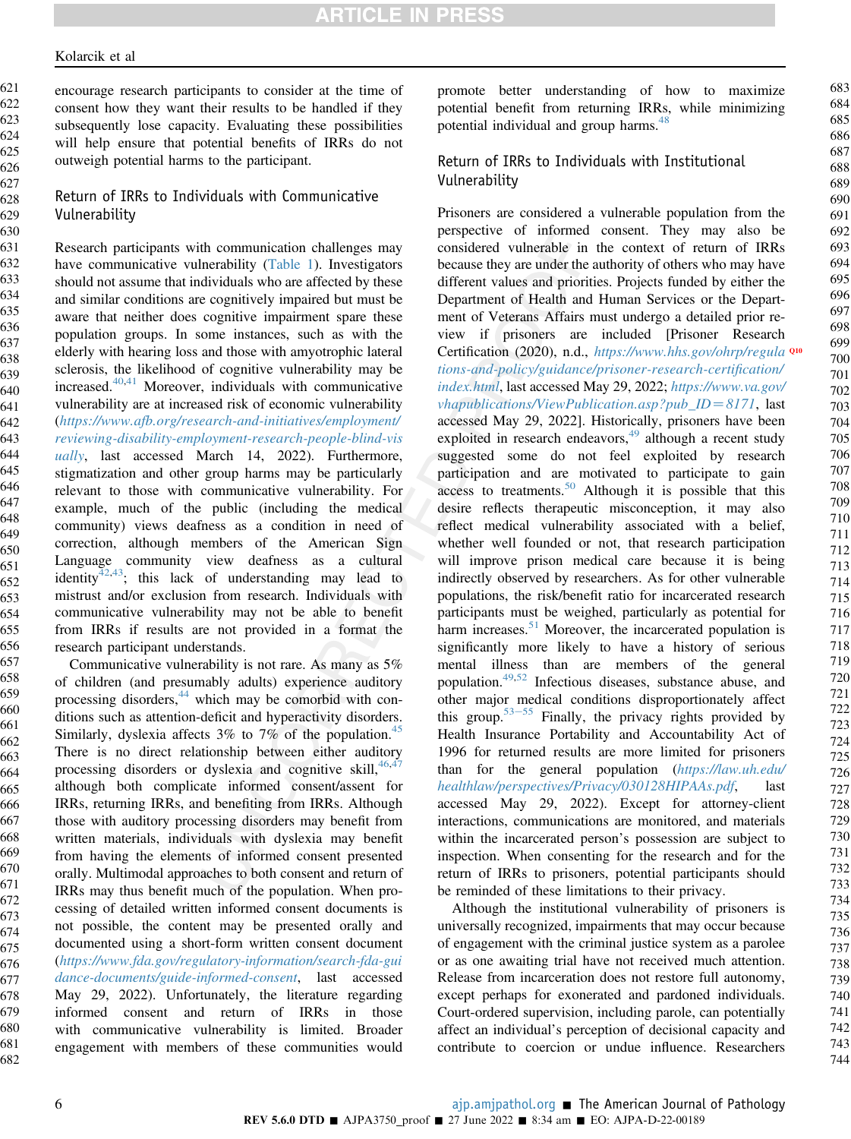encourage research participants to consider at the time of consent how they want their results to be handled if they subsequently lose capacity. Evaluating these possibilities will help ensure that potential benefits of IRRs do not outweigh potential harms to the participant. 621 622 623 624 625 626

## Return of IRRs to Individuals with Communicative Vulnerability

Research participants with communication challenges may have communicative vulnerability [\(Table 1\)](#page-2-0). Investigators should not assume that individuals who are affected by these and similar conditions are cognitively impaired but must be aware that neither does cognitive impairment spare these population groups. In some instances, such as with the elderly with hearing loss and those with amyotrophic lateral sclerosis, the likelihood of cognitive vulnerability may be increased.[40](#page-10-32),[41](#page-11-0) Moreover, individuals with communicative vulnerability are at increased risk of economic vulnerability ([https://www.afb.org/research-and-initiatives/employment/](https://www.afb.org/research-and-initiatives/employment/reviewing-disability-employment-research-people-blind-visually) [reviewing-disability-employment-research-people-blind-vis](https://www.afb.org/research-and-initiatives/employment/reviewing-disability-employment-research-people-blind-visually) [ually](https://www.afb.org/research-and-initiatives/employment/reviewing-disability-employment-research-people-blind-visually), last accessed March 14, 2022). Furthermore, stigmatization and other group harms may be particularly relevant to those with communicative vulnerability. For example, much of the public (including the medical community) views deafness as a condition in need of correction, although members of the American Sign Language community view deafness as a cultural identity<sup>[42](#page-11-1),43</sup>; this lack of understanding may lead to mistrust and/or exclusion from research. Individuals with communicative vulnerability may not be able to benefit from IRRs if results are not provided in a format the research participant understands. 631 632 633 634 635 636 637 638 639 640 641 642 643 644 645 646 647 648 649 650 651 652 653 654 655 656

Communicative vulnerability is not rare. As many as 5% of children (and presumably adults) experience auditory processing disorders,<sup>[44](#page-11-3)</sup> which may be comorbid with conditions such as attention-deficit and hyperactivity disorders. Similarly, dyslexia affects  $3\%$  to  $7\%$  of the population.<sup>[45](#page-11-4)</sup> There is no direct relationship between either auditory processing disorders or dyslexia and cognitive skill,  $46,47$  $46,47$ although both complicate informed consent/assent for IRRs, returning IRRs, and benefiting from IRRs. Although those with auditory processing disorders may benefit from written materials, individuals with dyslexia may benefit from having the elements of informed consent presented orally. Multimodal approaches to both consent and return of IRRs may thus benefit much of the population. When processing of detailed written informed consent documents is not possible, the content may be presented orally and documented using a short-form written consent document ([https://www.fda.gov/regulatory-information/search-fda-gui](https://www.fda.gov/regulatory-information/search-fda-guidance-documents/guide-informed-consent) [dance-documents/guide-informed-consent](https://www.fda.gov/regulatory-information/search-fda-guidance-documents/guide-informed-consent), last accessed May 29, 2022). Unfortunately, the literature regarding informed consent and return of IRRs in those with communicative vulnerability is limited. Broader engagement with members of these communities would 657 658 659 660 661 662 663 664 665 666 667 668 669 670 671 672 673 674 675 676 677 678 679 680 681 682

promote better understanding of how to maximize potential benefit from returning IRRs, while minimizing potential individual and group harms.<sup>[48](#page-11-7)</sup>

#### Return of IRRs to Individuals with Institutional Vulnerability

Prisoners are considered a vulnerable population from the perspective of informed consent. They may also be considered vulnerable in the context of return of IRRs because they are under the authority of others who may have different values and priorities. Projects funded by either the Department of Health and Human Services or the Department of Veterans Affairs must undergo a detailed prior review if prisoners are included [Prisoner Research Certification (2020), n.d.,  $https://www.hhs.gov/ohrp/regula$ <sup>Q10</sup> [tions-and-policy/guidance/prisoner-research-certi](https://www.hhs.gov/ohrp/regulations-and-policy/guidance/prisoner-research-certification/index.html)fication/ [index.html](https://www.hhs.gov/ohrp/regulations-and-policy/guidance/prisoner-research-certification/index.html), last accessed May 29, 2022; [https://www.va.gov/](https://www.va.gov/vhapublications/ViewPublication.asp?pub_ID=8171)  $vhapublications/ViewPublications/We will be a specific value of the system.$ accessed May 29, 2022]. Historically, prisoners have been exploited in research endeavors, $49$  although a recent study suggested some do not feel exploited by research participation and are motivated to participate to gain access to treatments.<sup>50</sup> Although it is possible that this desire reflects therapeutic misconception, it may also reflect medical vulnerability associated with a belief, whether well founded or not, that research participation will improve prison medical care because it is being indirectly observed by researchers. As for other vulnerable populations, the risk/benefit ratio for incarcerated research participants must be weighed, particularly as potential for harm increases. $51$  Moreover, the incarcerated population is significantly more likely to have a history of serious mental illness than are members of the general population.[49](#page-11-8)[,52](#page-11-11) Infectious diseases, substance abuse, and other major medical conditions disproportionately affect this group.<sup>[53](#page-11-12)–[55](#page-11-12)</sup> Finally, the privacy rights provided by Health Insurance Portability and Accountability Act of 1996 for returned results are more limited for prisoners than for the general population ([https://law.uh.edu/](https://law.uh.edu/healthlaw/perspectives/Privacy/030128HIPAAs.pdf) [healthlaw/perspectives/Privacy/030128HIPAAs.pdf](https://law.uh.edu/healthlaw/perspectives/Privacy/030128HIPAAs.pdf), last accessed May 29, 2022). Except for attorney-client interactions, communications are monitored, and materials within the incarcerated person's possession are subject to inspection. When consenting for the research and for the return of IRRs to prisoners, potential participants should be reminded of these limitations to their privacy.

Although the institutional vulnerability of prisoners is universally recognized, impairments that may occur because of engagement with the criminal justice system as a parolee or as one awaiting trial have not received much attention. Release from incarceration does not restore full autonomy, except perhaps for exonerated and pardoned individuals. Court-ordered supervision, including parole, can potentially affect an individual's perception of decisional capacity and contribute to coercion or undue influence. Researchers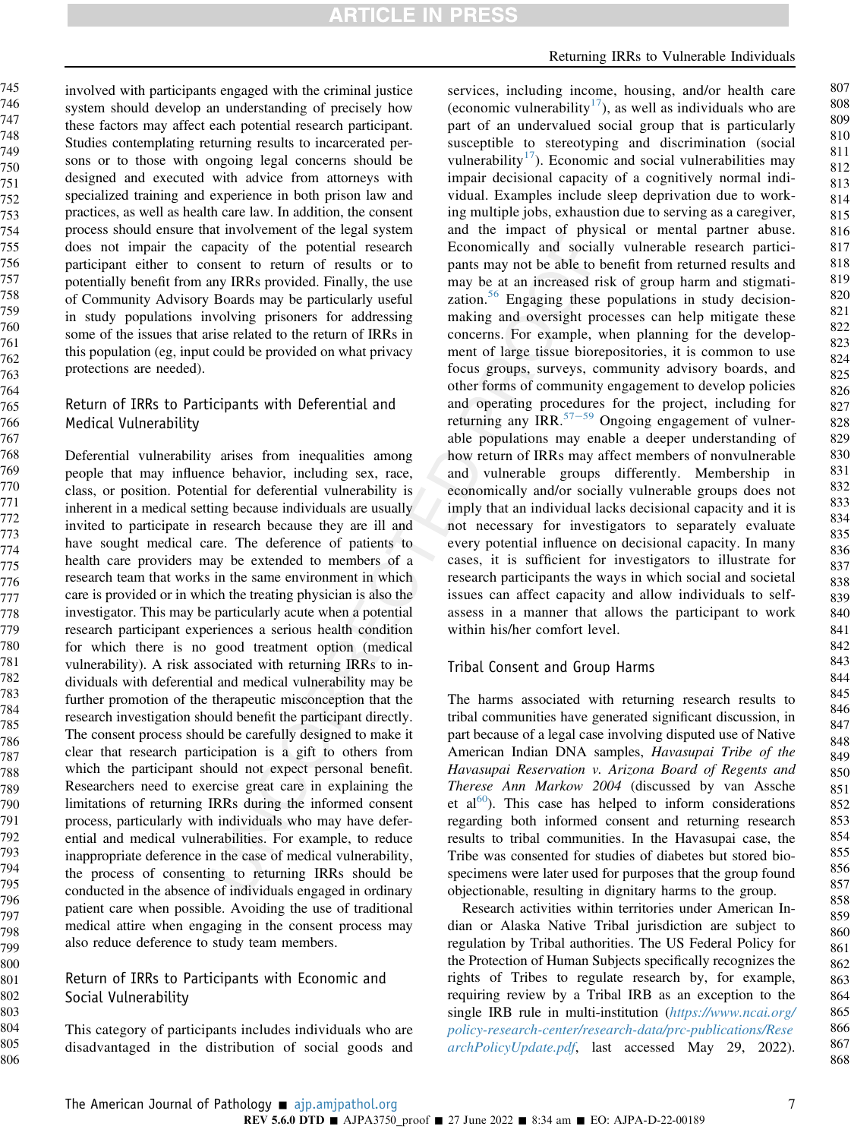805 806 involved with participants engaged with the criminal justice system should develop an understanding of precisely how these factors may affect each potential research participant. Studies contemplating returning results to incarcerated persons or to those with ongoing legal concerns should be designed and executed with advice from attorneys with specialized training and experience in both prison law and practices, as well as health care law. In addition, the consent process should ensure that involvement of the legal system does not impair the capacity of the potential research participant either to consent to return of results or to potentially benefit from any IRRs provided. Finally, the use of Community Advisory Boards may be particularly useful in study populations involving prisoners for addressing some of the issues that arise related to the return of IRRs in this population (eg, input could be provided on what privacy protections are needed).

#### Return of IRRs to Participants with Deferential and Medical Vulnerability

Deferential vulnerability arises from inequalities among people that may influence behavior, including sex, race, class, or position. Potential for deferential vulnerability is inherent in a medical setting because individuals are usually invited to participate in research because they are ill and have sought medical care. The deference of patients to health care providers may be extended to members of a research team that works in the same environment in which care is provided or in which the treating physician is also the investigator. This may be particularly acute when a potential research participant experiences a serious health condition for which there is no good treatment option (medical vulnerability). A risk associated with returning IRRs to individuals with deferential and medical vulnerability may be further promotion of the therapeutic misconception that the research investigation should benefit the participant directly. The consent process should be carefully designed to make it clear that research participation is a gift to others from which the participant should not expect personal benefit. Researchers need to exercise great care in explaining the limitations of returning IRRs during the informed consent process, particularly with individuals who may have deferential and medical vulnerabilities. For example, to reduce inappropriate deference in the case of medical vulnerability, the process of consenting to returning IRRs should be conducted in the absence of individuals engaged in ordinary patient care when possible. Avoiding the use of traditional medical attire when engaging in the consent process may also reduce deference to study team members.

#### Return of IRRs to Participants with Economic and Social Vulnerability

This category of participants includes individuals who are disadvantaged in the distribution of social goods and

## Returning IRRs to Vulnerable Individuals

services, including income, housing, and/or health care (economic vulnerability<sup>17</sup>), as well as individuals who are part of an undervalued social group that is particularly susceptible to stereotyping and discrimination (social vulnerability<sup>17</sup>). Economic and social vulnerabilities may impair decisional capacity of a cognitively normal individual. Examples include sleep deprivation due to working multiple jobs, exhaustion due to serving as a caregiver, and the impact of physical or mental partner abuse. Economically and socially vulnerable research participants may not be able to benefit from returned results and may be at an increased risk of group harm and stigmati-zation.<sup>[56](#page-11-13)</sup> Engaging these populations in study decisionmaking and oversight processes can help mitigate these concerns. For example, when planning for the development of large tissue biorepositories, it is common to use focus groups, surveys, community advisory boards, and other forms of community engagement to develop policies and operating procedures for the project, including for returning any IRR.<sup>[57](#page-11-14)–[59](#page-11-14)</sup> Ongoing engagement of vulnerable populations may enable a deeper understanding of how return of IRRs may affect members of nonvulnerable and vulnerable groups differently. Membership in economically and/or socially vulnerable groups does not imply that an individual lacks decisional capacity and it is not necessary for investigators to separately evaluate every potential influence on decisional capacity. In many cases, it is sufficient for investigators to illustrate for research participants the ways in which social and societal issues can affect capacity and allow individuals to selfassess in a manner that allows the participant to work within his/her comfort level.

## Tribal Consent and Group Harms

The harms associated with returning research results to tribal communities have generated significant discussion, in part because of a legal case involving disputed use of Native American Indian DNA samples, Havasupai Tribe of the Havasupai Reservation v. Arizona Board of Regents and Therese Ann Markow 2004 (discussed by van Assche et al<sup>[60](#page-11-15)</sup>). This case has helped to inform considerations regarding both informed consent and returning research results to tribal communities. In the Havasupai case, the Tribe was consented for studies of diabetes but stored biospecimens were later used for purposes that the group found objectionable, resulting in dignitary harms to the group.

Research activities within territories under American Indian or Alaska Native Tribal jurisdiction are subject to regulation by Tribal authorities. The US Federal Policy for the Protection of Human Subjects specifically recognizes the rights of Tribes to regulate research by, for example, requiring review by a Tribal IRB as an exception to the single IRB rule in multi-institution ([https://www.ncai.org/](https://www.ncai.org/policy-research-center/research-data/prc-publications/ResearchPolicyUpdate.pdf) [policy-research-center/research-data/prc-publications/Rese](https://www.ncai.org/policy-research-center/research-data/prc-publications/ResearchPolicyUpdate.pdf) [archPolicyUpdate.pdf](https://www.ncai.org/policy-research-center/research-data/prc-publications/ResearchPolicyUpdate.pdf), last accessed May 29, 2022).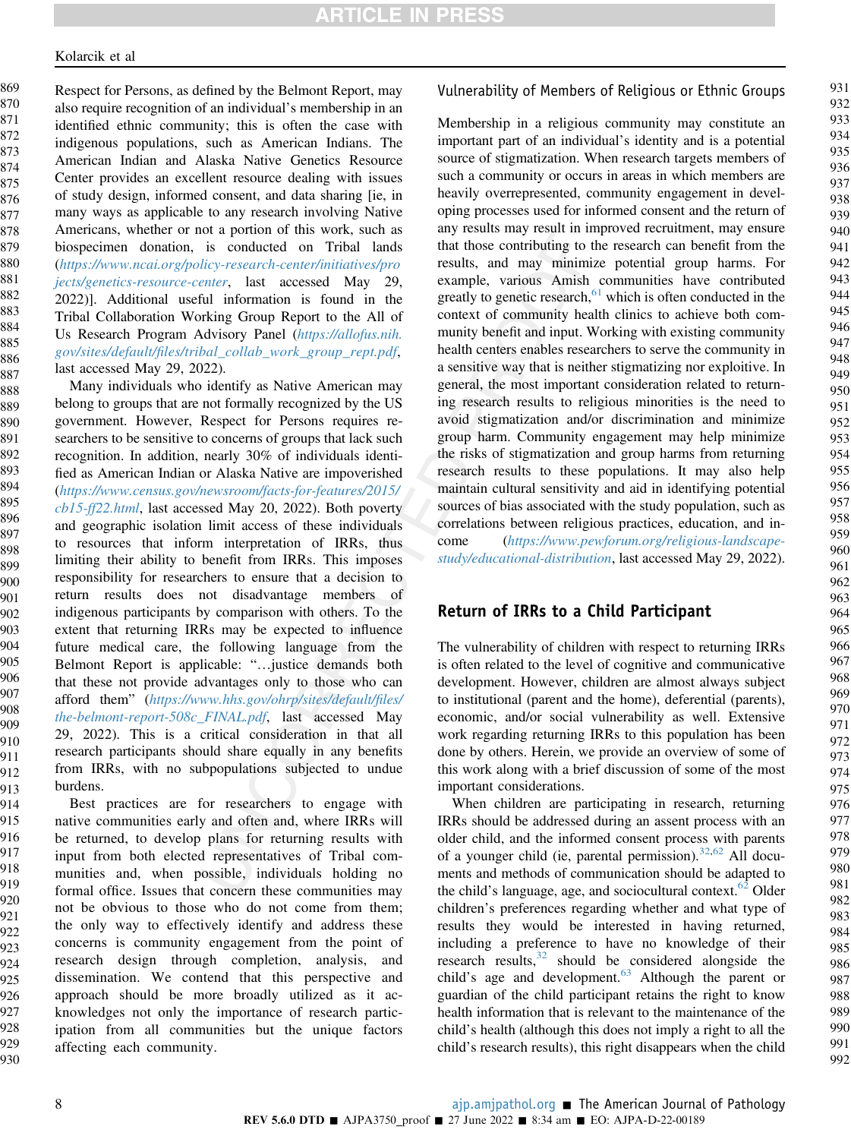Respect for Persons, as defined by the Belmont Report, may also require recognition of an individual's membership in an identified ethnic community; this is often the case with indigenous populations, such as American Indians. The American Indian and Alaska Native Genetics Resource Center provides an excellent resource dealing with issues of study design, informed consent, and data sharing [ie, in many ways as applicable to any research involving Native Americans, whether or not a portion of this work, such as biospecimen donation, is conducted on Tribal lands ([https://www.ncai.org/policy-research-center/initiatives/pro](https://www.ncai.org/policy-research-center/initiatives/projects/genetics-resource-center) [jects/genetics-resource-center](https://www.ncai.org/policy-research-center/initiatives/projects/genetics-resource-center), last accessed May 29, 2022)]. Additional useful information is found in the Tribal Collaboration Working Group Report to the All of Us Research Program Advisory Panel ([https://allofus.nih.](https://allofus.nih.gov/sites/default/files/tribal_collab_work_group_rept.pdf) gov/sites/default/fi[les/tribal\\_collab\\_work\\_group\\_rept.pdf](https://allofus.nih.gov/sites/default/files/tribal_collab_work_group_rept.pdf), last accessed May 29, 2022). 869 870 871 872 873 874 875 876 877 878 879 880 881 882 883 884 885 886 887

Many individuals who identify as Native American may belong to groups that are not formally recognized by the US government. However, Respect for Persons requires researchers to be sensitive to concerns of groups that lack such recognition. In addition, nearly 30% of individuals identified as American Indian or Alaska Native are impoverished ([https://www.census.gov/newsroom/facts-for-features/2015/](https://www.census.gov/newsroom/facts-for-features/2015/cb15-ff22.html) [cb15-ff22.html](https://www.census.gov/newsroom/facts-for-features/2015/cb15-ff22.html), last accessed May 20, 2022). Both poverty and geographic isolation limit access of these individuals to resources that inform interpretation of IRRs, thus limiting their ability to benefit from IRRs. This imposes responsibility for researchers to ensure that a decision to return results does not disadvantage members of indigenous participants by comparison with others. To the extent that returning IRRs may be expected to influence future medical care, the following language from the Belmont Report is applicable: "...justice demands both that these not provide advantages only to those who can afford them" ([https://www.hhs.gov/ohrp/sites/default/](https://www.hhs.gov/ohrp/sites/default/files/the-belmont-report-508c_FINAL.pdf)files/ [the-belmont-report-508c\\_FINAL.pdf](https://www.hhs.gov/ohrp/sites/default/files/the-belmont-report-508c_FINAL.pdf), last accessed May 29, 2022). This is a critical consideration in that all research participants should share equally in any benefits from IRRs, with no subpopulations subjected to undue burdens. 888 889 890 891 892 893 894 895 896 897 898 899 900 901 902 903 904 905 906 907 908 909 910 911 912 913

Best practices are for researchers to engage with native communities early and often and, where IRRs will be returned, to develop plans for returning results with input from both elected representatives of Tribal communities and, when possible, individuals holding no formal office. Issues that concern these communities may not be obvious to those who do not come from them; the only way to effectively identify and address these concerns is community engagement from the point of research design through completion, analysis, and dissemination. We contend that this perspective and approach should be more broadly utilized as it acknowledges not only the importance of research participation from all communities but the unique factors affecting each community. 914 915 916 917 918 919 920 921 922 923 924 925 926 927 928 929 930

#### Vulnerability of Members of Religious or Ethnic Groups

Membership in a religious community may constitute an important part of an individual's identity and is a potential source of stigmatization. When research targets members of such a community or occurs in areas in which members are heavily overrepresented, community engagement in developing processes used for informed consent and the return of any results may result in improved recruitment, may ensure that those contributing to the research can benefit from the results, and may minimize potential group harms. For example, various Amish communities have contributed greatly to genetic research, $61$  which is often conducted in the context of community health clinics to achieve both community benefit and input. Working with existing community health centers enables researchers to serve the community in a sensitive way that is neither stigmatizing nor exploitive. In general, the most important consideration related to returning research results to religious minorities is the need to avoid stigmatization and/or discrimination and minimize group harm. Community engagement may help minimize the risks of stigmatization and group harms from returning research results to these populations. It may also help maintain cultural sensitivity and aid in identifying potential sources of bias associated with the study population, such as correlations between religious practices, education, and income ([https://www.pewforum.org/religious-landscape](https://www.pewforum.org/religious-landscape-study/educational-distribution)[study/educational-distribution](https://www.pewforum.org/religious-landscape-study/educational-distribution), last accessed May 29, 2022).

## Return of IRRs to a Child Participant

The vulnerability of children with respect to returning IRRs is often related to the level of cognitive and communicative development. However, children are almost always subject to institutional (parent and the home), deferential (parents), economic, and/or social vulnerability as well. Extensive work regarding returning IRRs to this population has been done by others. Herein, we provide an overview of some of this work along with a brief discussion of some of the most important considerations.

When children are participating in research, returning IRRs should be addressed during an assent process with an older child, and the informed consent process with parents of a younger child (ie, parental permission). $32,62$  $32,62$  All documents and methods of communication should be adapted to the child's language, age, and sociocultural context. $62$  Older children's preferences regarding whether and what type of results they would be interested in having returned, including a preference to have no knowledge of their research results, $32$  should be considered alongside the child's age and development.<sup>[63](#page-11-18)</sup> Although the parent or guardian of the child participant retains the right to know health information that is relevant to the maintenance of the child's health (although this does not imply a right to all the child's research results), this right disappears when the child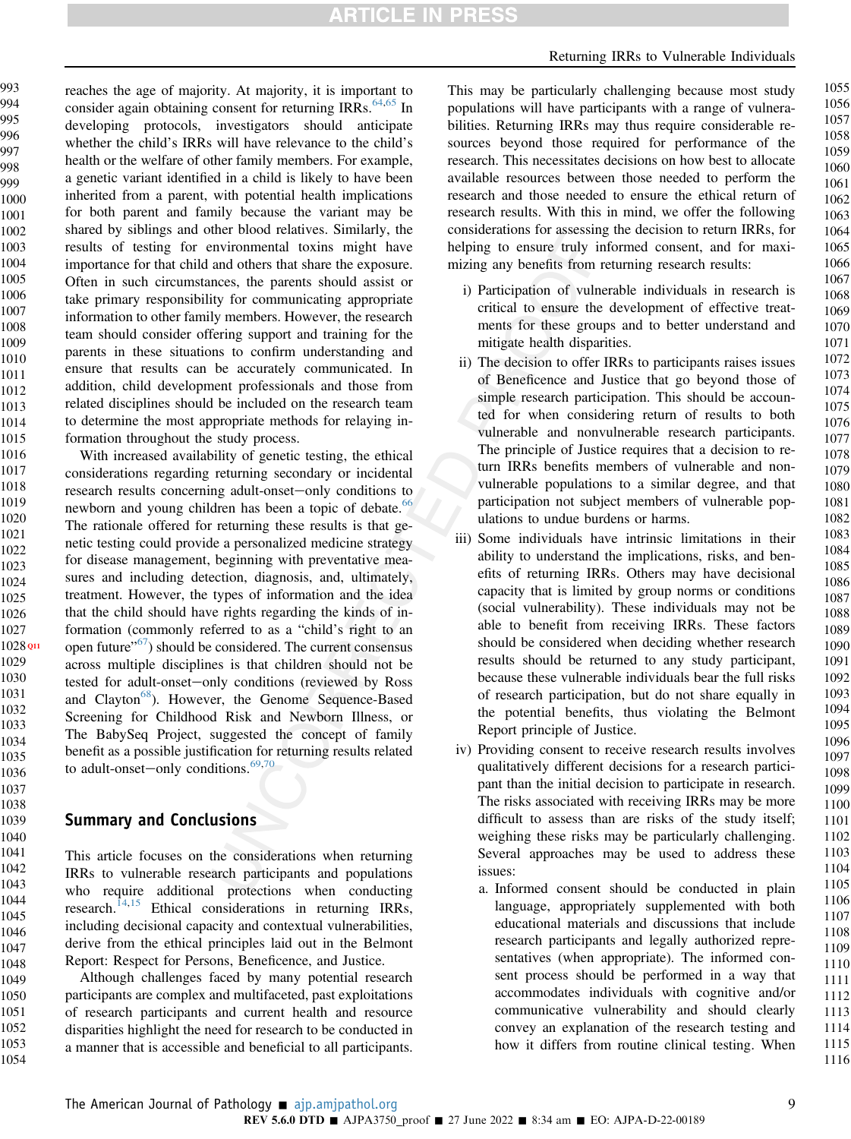# **ARTICLE IN PRESS**

#### Returning IRRs to Vulnerable Individuals

reaches the age of majority. At majority, it is important to consider again obtaining consent for returning IRRs. $64,65$  $64,65$  In developing protocols, investigators should anticipate whether the child's IRRs will have relevance to the child's health or the welfare of other family members. For example, a genetic variant identified in a child is likely to have been inherited from a parent, with potential health implications for both parent and family because the variant may be shared by siblings and other blood relatives. Similarly, the results of testing for environmental toxins might have importance for that child and others that share the exposure. Often in such circumstances, the parents should assist or take primary responsibility for communicating appropriate information to other family members. However, the research team should consider offering support and training for the parents in these situations to confirm understanding and ensure that results can be accurately communicated. In addition, child development professionals and those from related disciplines should be included on the research team to determine the most appropriate methods for relaying information throughout the study process. 993 994 995 996 997 998 999 1000 1001 1002 1003 1004 1005 1006 1007 1008 1009 1010 1011 1012 1013 1014 1015 1016

With increased availability of genetic testing, the ethical considerations regarding returning secondary or incidental research results concerning adult-onset-only conditions to newborn and young children has been a topic of debate.<sup>66</sup> The rationale offered for returning these results is that genetic testing could provide a personalized medicine strategy for disease management, beginning with preventative measures and including detection, diagnosis, and, ultimately, treatment. However, the types of information and the idea that the child should have rights regarding the kinds of information (commonly referred to as a "child's right to an  $Q11$  open future"<sup>[67](#page-11-22)</sup>) should be considered. The current consensus across multiple disciplines is that children should not be tested for adult-onset-only conditions (reviewed by Ross and Clayton<sup>[68](#page-11-23)</sup>). However, the Genome Sequence-Based Screening for Childhood Risk and Newborn Illness, or The BabySeq Project, suggested the concept of family benefit as a possible justification for returning results related to adult-onset-only conditions. $69,70$  $69,70$ 1028 **Q11** 

#### Summary and Conclusions

This article focuses on the considerations when returning IRRs to vulnerable research participants and populations who require additional protections when conducting research. $^{14,15}$  $^{14,15}$  $^{14,15}$  $^{14,15}$  Ethical considerations in returning IRRs, including decisional capacity and contextual vulnerabilities, derive from the ethical principles laid out in the Belmont Report: Respect for Persons, Beneficence, and Justice.

Although challenges faced by many potential research participants are complex and multifaceted, past exploitations of research participants and current health and resource disparities highlight the need for research to be conducted in a manner that is accessible and beneficial to all participants.

This may be particularly challenging because most study populations will have participants with a range of vulnerabilities. Returning IRRs may thus require considerable resources beyond those required for performance of the research. This necessitates decisions on how best to allocate available resources between those needed to perform the research and those needed to ensure the ethical return of research results. With this in mind, we offer the following considerations for assessing the decision to return IRRs, for helping to ensure truly informed consent, and for maximizing any benefits from returning research results:

- i) Participation of vulnerable individuals in research is critical to ensure the development of effective treatments for these groups and to better understand and mitigate health disparities.
- ii) The decision to offer IRRs to participants raises issues of Beneficence and Justice that go beyond those of simple research participation. This should be accounted for when considering return of results to both vulnerable and nonvulnerable research participants. The principle of Justice requires that a decision to return IRRs benefits members of vulnerable and nonvulnerable populations to a similar degree, and that participation not subject members of vulnerable populations to undue burdens or harms.
- iii) Some individuals have intrinsic limitations in their ability to understand the implications, risks, and benefits of returning IRRs. Others may have decisional capacity that is limited by group norms or conditions (social vulnerability). These individuals may not be able to benefit from receiving IRRs. These factors should be considered when deciding whether research results should be returned to any study participant, because these vulnerable individuals bear the full risks of research participation, but do not share equally in the potential benefits, thus violating the Belmont Report principle of Justice.
- iv) Providing consent to receive research results involves qualitatively different decisions for a research participant than the initial decision to participate in research. The risks associated with receiving IRRs may be more difficult to assess than are risks of the study itself; weighing these risks may be particularly challenging. Several approaches may be used to address these issues:
	- a. Informed consent should be conducted in plain language, appropriately supplemented with both educational materials and discussions that include research participants and legally authorized representatives (when appropriate). The informed consent process should be performed in a way that accommodates individuals with cognitive and/or communicative vulnerability and should clearly convey an explanation of the research testing and how it differs from routine clinical testing. When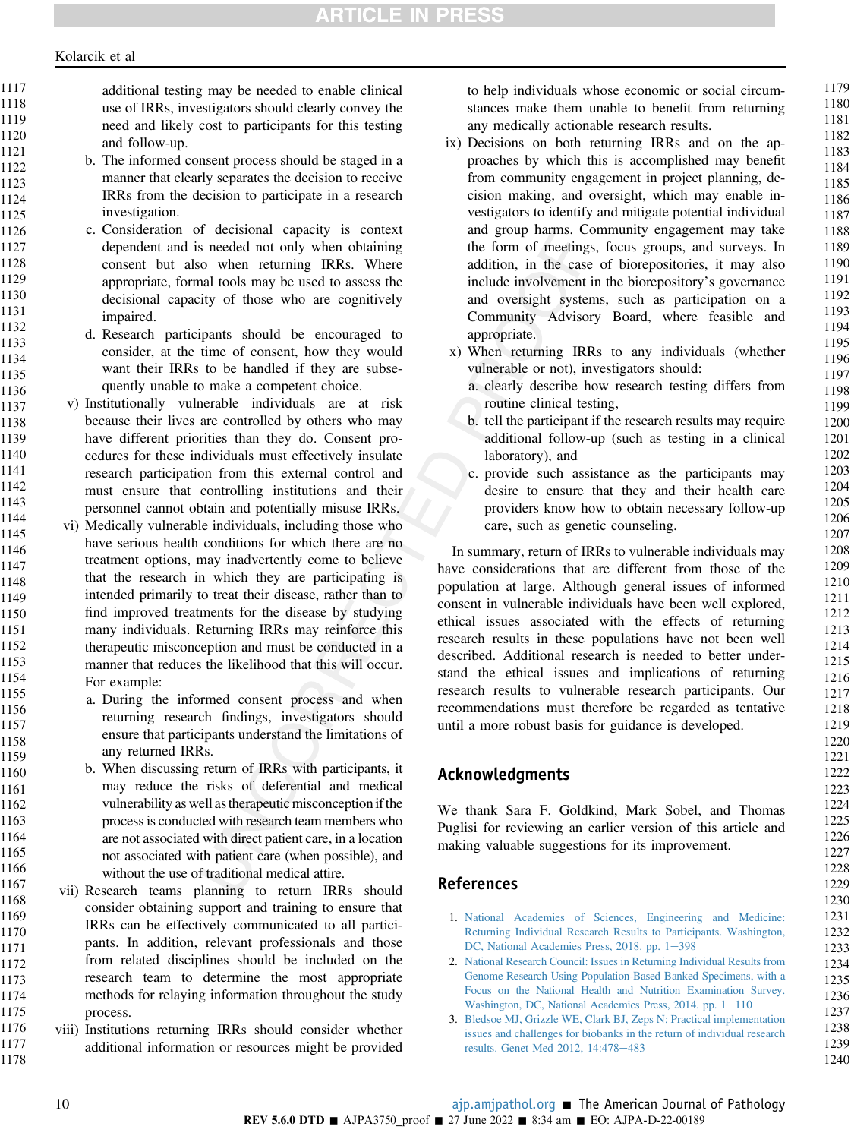additional testing may be needed to enable clinical use of IRRs, investigators should clearly convey the need and likely cost to participants for this testing and follow-up.

- b. The informed consent process should be staged in a manner that clearly separates the decision to receive IRRs from the decision to participate in a research investigation.
- c. Consideration of decisional capacity is context dependent and is needed not only when obtaining consent but also when returning IRRs. Where appropriate, formal tools may be used to assess the decisional capacity of those who are cognitively impaired.
	- d. Research participants should be encouraged to consider, at the time of consent, how they would want their IRRs to be handled if they are subsequently unable to make a competent choice.
- v) Institutionally vulnerable individuals are at risk because their lives are controlled by others who may have different priorities than they do. Consent procedures for these individuals must effectively insulate research participation from this external control and must ensure that controlling institutions and their personnel cannot obtain and potentially misuse IRRs.
- vi) Medically vulnerable individuals, including those who have serious health conditions for which there are no treatment options, may inadvertently come to believe that the research in which they are participating is intended primarily to treat their disease, rather than to find improved treatments for the disease by studying many individuals. Returning IRRs may reinforce this therapeutic misconception and must be conducted in a manner that reduces the likelihood that this will occur. For example:
	- a. During the informed consent process and when returning research findings, investigators should ensure that participants understand the limitations of any returned IRRs.
		- b. When discussing return of IRRs with participants, it may reduce the risks of deferential and medical vulnerability as well astherapeutic misconceptionif the process is conducted with research team members who are not associated with direct patient care, in a location not associated with patient care (when possible), and without the use of traditional medical attire.
- vii) Research teams planning to return IRRs should consider obtaining support and training to ensure that IRRs can be effectively communicated to all participants. In addition, relevant professionals and those from related disciplines should be included on the research team to determine the most appropriate methods for relaying information throughout the study process. 1174
- viii) Institutions returning IRRs should consider whether additional information or resources might be provided 1176 1177 1178

to help individuals whose economic or social circumstances make them unable to benefit from returning any medically actionable research results.

- ix) Decisions on both returning IRRs and on the approaches by which this is accomplished may benefit from community engagement in project planning, decision making, and oversight, which may enable investigators to identify and mitigate potential individual and group harms. Community engagement may take the form of meetings, focus groups, and surveys. In addition, in the case of biorepositories, it may also include involvement in the biorepository's governance and oversight systems, such as participation on a Community Advisory Board, where feasible and appropriate.
- x) When returning IRRs to any individuals (whether vulnerable or not), investigators should:
	- a. clearly describe how research testing differs from routine clinical testing,
	- b. tell the participant if the research results may require additional follow-up (such as testing in a clinical laboratory), and
	- c. provide such assistance as the participants may desire to ensure that they and their health care providers know how to obtain necessary follow-up care, such as genetic counseling.

In summary, return of IRRs to vulnerable individuals may have considerations that are different from those of the population at large. Although general issues of informed consent in vulnerable individuals have been well explored, ethical issues associated with the effects of returning research results in these populations have not been well described. Additional research is needed to better understand the ethical issues and implications of returning research results to vulnerable research participants. Our recommendations must therefore be regarded as tentative until a more robust basis for guidance is developed.

# Acknowledgments

We thank Sara F. Goldkind, Mark Sobel, and Thomas Puglisi for reviewing an earlier version of this article and making valuable suggestions for its improvement.

## References

- <span id="page-9-0"></span>1. [National Academies of Sciences, Engineering and Medicine:](http://refhub.elsevier.com/S0002-9440(22)00175-4/sref1) [Returning Individual Research Results to Participants. Washington,](http://refhub.elsevier.com/S0002-9440(22)00175-4/sref1) [DC, National Academies Press, 2018. pp. 1](http://refhub.elsevier.com/S0002-9440(22)00175-4/sref1)-[398](http://refhub.elsevier.com/S0002-9440(22)00175-4/sref1)
- 2. [National Research Council: Issues in Returning Individual Results from](http://refhub.elsevier.com/S0002-9440(22)00175-4/sref2) [Genome Research Using Population-Based Banked Specimens, with a](http://refhub.elsevier.com/S0002-9440(22)00175-4/sref2) [Focus on the National Health and Nutrition Examination Survey.](http://refhub.elsevier.com/S0002-9440(22)00175-4/sref2) Washington, DC, National Academies Press,  $2014$ . pp.  $1-110$  $1-110$
- 3. [Bledsoe MJ, Grizzle WE, Clark BJ, Zeps N: Practical implementation](http://refhub.elsevier.com/S0002-9440(22)00175-4/sref3) [issues and challenges for biobanks in the return of individual research](http://refhub.elsevier.com/S0002-9440(22)00175-4/sref3) [results. Genet Med 2012, 14:478](http://refhub.elsevier.com/S0002-9440(22)00175-4/sref3)-[483](http://refhub.elsevier.com/S0002-9440(22)00175-4/sref3)

1179 1180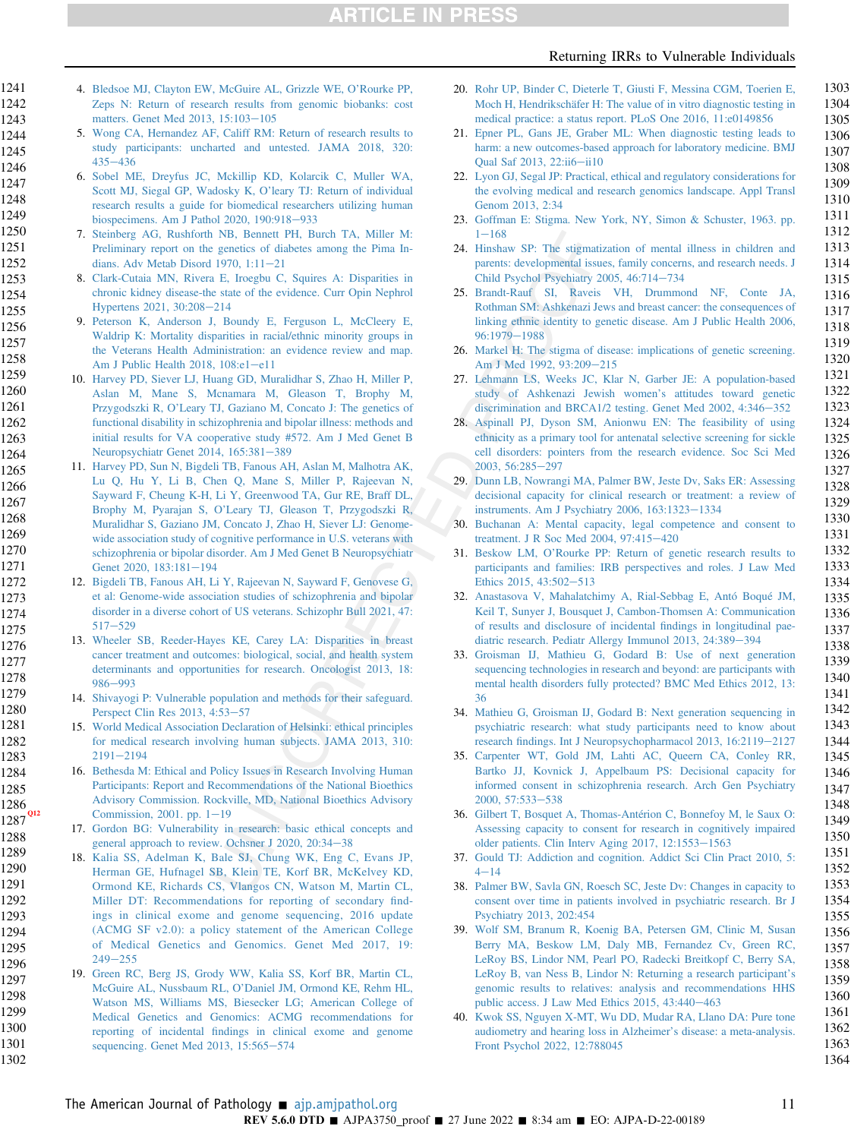**ARTICLE IN PRESS** 

#### Returning IRRs to Vulnerable Individuals

4. [Bledsoe MJ, Clayton EW, McGuire AL, Grizzle WE, O](http://refhub.elsevier.com/S0002-9440(22)00175-4/sref4)'Rourke PP, [Zeps N: Return of research results from genomic biobanks: cost](http://refhub.elsevier.com/S0002-9440(22)00175-4/sref4) [matters. Genet Med 2013, 15:103](http://refhub.elsevier.com/S0002-9440(22)00175-4/sref4)-[105](http://refhub.elsevier.com/S0002-9440(22)00175-4/sref4)

- <span id="page-10-11"></span>5. [Wong CA, Hernandez AF, Califf RM: Return of research results to](http://refhub.elsevier.com/S0002-9440(22)00175-4/sref5) [study participants: uncharted and untested. JAMA 2018, 320:](http://refhub.elsevier.com/S0002-9440(22)00175-4/sref5)  $435 - 436$  $435 - 436$  $435 - 436$
- <span id="page-10-12"></span>6. [Sobel ME, Dreyfus JC, Mckillip KD, Kolarcik C, Muller WA,](http://refhub.elsevier.com/S0002-9440(22)00175-4/sref6) [Scott MJ, Siegal GP, Wadosky K, O](http://refhub.elsevier.com/S0002-9440(22)00175-4/sref6)'leary TJ: Return of individual [research results a guide for biomedical researchers utilizing human](http://refhub.elsevier.com/S0002-9440(22)00175-4/sref6) [biospecimens. Am J Pathol 2020, 190:918](http://refhub.elsevier.com/S0002-9440(22)00175-4/sref6)-[933](http://refhub.elsevier.com/S0002-9440(22)00175-4/sref6)
- <span id="page-10-0"></span>7. [Steinberg AG, Rushforth NB, Bennett PH, Burch TA, Miller M:](http://refhub.elsevier.com/S0002-9440(22)00175-4/sref7) [Preliminary report on the genetics of diabetes among the Pima In](http://refhub.elsevier.com/S0002-9440(22)00175-4/sref7)dians. Adv Metab Disord 1970,  $1:11-21$  $1:11-21$
- <span id="page-10-1"></span>8. [Clark-Cutaia MN, Rivera E, Iroegbu C, Squires A: Disparities in](http://refhub.elsevier.com/S0002-9440(22)00175-4/sref8) [chronic kidney disease-the state of the evidence. Curr Opin Nephrol](http://refhub.elsevier.com/S0002-9440(22)00175-4/sref8) [Hypertens 2021, 30:208](http://refhub.elsevier.com/S0002-9440(22)00175-4/sref8)-[214](http://refhub.elsevier.com/S0002-9440(22)00175-4/sref8)
- <span id="page-10-2"></span>9. [Peterson K, Anderson J, Boundy E, Ferguson L, McCleery E,](http://refhub.elsevier.com/S0002-9440(22)00175-4/sref9) [Waldrip K: Mortality disparities in racial/ethnic minority groups in](http://refhub.elsevier.com/S0002-9440(22)00175-4/sref9) [the Veterans Health Administration: an evidence review and map.](http://refhub.elsevier.com/S0002-9440(22)00175-4/sref9) [Am J Public Health 2018, 108:e1](http://refhub.elsevier.com/S0002-9440(22)00175-4/sref9)-[e11](http://refhub.elsevier.com/S0002-9440(22)00175-4/sref9)
- <span id="page-10-3"></span>10. [Harvey PD, Siever LJ, Huang GD, Muralidhar S, Zhao H, Miller P,](http://refhub.elsevier.com/S0002-9440(22)00175-4/sref10) [Aslan M, Mane S, Mcnamara M, Gleason T, Brophy M,](http://refhub.elsevier.com/S0002-9440(22)00175-4/sref10) Przygodszki R, O'[Leary TJ, Gaziano M, Concato J: The genetics of](http://refhub.elsevier.com/S0002-9440(22)00175-4/sref10) [functional disability in schizophrenia and bipolar illness: methods and](http://refhub.elsevier.com/S0002-9440(22)00175-4/sref10) [initial results for VA cooperative study #572. Am J Med Genet B](http://refhub.elsevier.com/S0002-9440(22)00175-4/sref10) [Neuropsychiatr Genet 2014, 165:381](http://refhub.elsevier.com/S0002-9440(22)00175-4/sref10)-[389](http://refhub.elsevier.com/S0002-9440(22)00175-4/sref10)
- <span id="page-10-5"></span><span id="page-10-4"></span>11. [Harvey PD, Sun N, Bigdeli TB, Fanous AH, Aslan M, Malhotra AK,](http://refhub.elsevier.com/S0002-9440(22)00175-4/sref11) [Lu Q, Hu Y, Li B, Chen Q, Mane S, Miller P, Rajeevan N,](http://refhub.elsevier.com/S0002-9440(22)00175-4/sref11) [Sayward F, Cheung K-H, Li Y, Greenwood TA, Gur RE, Braff DL,](http://refhub.elsevier.com/S0002-9440(22)00175-4/sref11) Brophy M, Pyarajan S, O'[Leary TJ, Gleason T, Przygodszki R,](http://refhub.elsevier.com/S0002-9440(22)00175-4/sref11) [Muralidhar S, Gaziano JM, Concato J, Zhao H, Siever LJ: Genome](http://refhub.elsevier.com/S0002-9440(22)00175-4/sref11)[wide association study of cognitive performance in U.S. veterans with](http://refhub.elsevier.com/S0002-9440(22)00175-4/sref11) [schizophrenia or bipolar disorder. Am J Med Genet B Neuropsychiatr](http://refhub.elsevier.com/S0002-9440(22)00175-4/sref11) [Genet 2020, 183:181](http://refhub.elsevier.com/S0002-9440(22)00175-4/sref11)-[194](http://refhub.elsevier.com/S0002-9440(22)00175-4/sref11) 1265 1266 1267 1268 1269 1270 1271 1272
	- 12. [Bigdeli TB, Fanous AH, Li Y, Rajeevan N, Sayward F, Genovese G,](http://refhub.elsevier.com/S0002-9440(22)00175-4/sref12) [et al: Genome-wide association studies of schizophrenia and bipolar](http://refhub.elsevier.com/S0002-9440(22)00175-4/sref12) [disorder in a diverse cohort of US veterans. Schizophr Bull 2021, 47:](http://refhub.elsevier.com/S0002-9440(22)00175-4/sref12)  $517 - 529$  $517 - 529$  $517 - 529$ 
		- 13. [Wheeler SB, Reeder-Hayes KE, Carey LA: Disparities in breast](http://refhub.elsevier.com/S0002-9440(22)00175-4/sref13) [cancer treatment and outcomes: biological, social, and health system](http://refhub.elsevier.com/S0002-9440(22)00175-4/sref13) [determinants and opportunities for research. Oncologist 2013, 18:](http://refhub.elsevier.com/S0002-9440(22)00175-4/sref13) [986](http://refhub.elsevier.com/S0002-9440(22)00175-4/sref13)-[993](http://refhub.elsevier.com/S0002-9440(22)00175-4/sref13)
			- 14. [Shivayogi P: Vulnerable population and methods for their safeguard.](http://refhub.elsevier.com/S0002-9440(22)00175-4/sref14) [Perspect Clin Res 2013, 4:53](http://refhub.elsevier.com/S0002-9440(22)00175-4/sref14)-[57](http://refhub.elsevier.com/S0002-9440(22)00175-4/sref14)
			- 15. [World Medical Association Declaration of Helsinki: ethical principles](http://refhub.elsevier.com/S0002-9440(22)00175-4/sref15) [for medical research involving human subjects. JAMA 2013, 310:](http://refhub.elsevier.com/S0002-9440(22)00175-4/sref15)  $2191 - 2194$  $2191 - 2194$  $2191 - 2194$
	- 16. [Bethesda M: Ethical and Policy Issues in Research Involving Human](http://refhub.elsevier.com/S0002-9440(22)00175-4/sref16) [Participants: Report and Recommendations of the National Bioethics](http://refhub.elsevier.com/S0002-9440(22)00175-4/sref16) [Advisory Commission. Rockville, MD, National Bioethics Advisory](http://refhub.elsevier.com/S0002-9440(22)00175-4/sref16)  $Q12$  [Commission, 2001. pp. 1](http://refhub.elsevier.com/S0002-9440(22)00175-4/sref16)–[19](http://refhub.elsevier.com/S0002-9440(22)00175-4/sref16)
		- 17. [Gordon BG: Vulnerability in research: basic ethical concepts and](http://refhub.elsevier.com/S0002-9440(22)00175-4/sref17) general approach to review. Ochsner J  $2020$ ,  $20:34-38$  $20:34-38$
	- 18. [Kalia SS, Adelman K, Bale SJ, Chung WK, Eng C, Evans JP,](http://refhub.elsevier.com/S0002-9440(22)00175-4/sref18) [Herman GE, Hufnagel SB, Klein TE, Korf BR, McKelvey KD,](http://refhub.elsevier.com/S0002-9440(22)00175-4/sref18) [Ormond KE, Richards CS, Vlangos CN, Watson M, Martin CL,](http://refhub.elsevier.com/S0002-9440(22)00175-4/sref18) [Miller DT: Recommendations](http://refhub.elsevier.com/S0002-9440(22)00175-4/sref18) for reporting of secondary find[ings in clinical exome and genome sequencing, 2016 update](http://refhub.elsevier.com/S0002-9440(22)00175-4/sref18) [\(ACMG SF v2.0\): a policy statement of the American College](http://refhub.elsevier.com/S0002-9440(22)00175-4/sref18) [of Medical Genetics and Genomics. Genet Med 2017, 19:](http://refhub.elsevier.com/S0002-9440(22)00175-4/sref18)  $249 - 255$  $249 - 255$  $249 - 255$
- <span id="page-10-10"></span><span id="page-10-9"></span><span id="page-10-8"></span><span id="page-10-7"></span><span id="page-10-6"></span>19. [Green RC, Berg JS, Grody WW, Kalia SS, Korf BR, Martin CL,](http://refhub.elsevier.com/S0002-9440(22)00175-4/sref19) McGuire AL, Nussbaum RL, O'[Daniel JM, Ormond KE, Rehm HL,](http://refhub.elsevier.com/S0002-9440(22)00175-4/sref19) [Watson MS, Williams MS, Biesecker LG; American College of](http://refhub.elsevier.com/S0002-9440(22)00175-4/sref19) [Medical Genetics and Genomics: ACMG recommendations for](http://refhub.elsevier.com/S0002-9440(22)00175-4/sref19) reporting of incidental fi[ndings in clinical exome and genome](http://refhub.elsevier.com/S0002-9440(22)00175-4/sref19) [sequencing. Genet Med 2013, 15:565](http://refhub.elsevier.com/S0002-9440(22)00175-4/sref19)-[574](http://refhub.elsevier.com/S0002-9440(22)00175-4/sref19) 1296 1297 1298 1299 1300 1301 1302
- <span id="page-10-13"></span>20. [Rohr UP, Binder C, Dieterle T, Giusti F, Messina CGM, Toerien E,](http://refhub.elsevier.com/S0002-9440(22)00175-4/sref20) [Moch H, Hendrikschäfer H: The value of in vitro diagnostic testing in](http://refhub.elsevier.com/S0002-9440(22)00175-4/sref20) [medical practice: a status report. PLoS One 2016, 11:e0149856](http://refhub.elsevier.com/S0002-9440(22)00175-4/sref20)
- <span id="page-10-14"></span>21. [Epner PL, Gans JE, Graber ML: When diagnostic testing leads to](http://refhub.elsevier.com/S0002-9440(22)00175-4/sref21) [harm: a new outcomes-based approach for laboratory medicine. BMJ](http://refhub.elsevier.com/S0002-9440(22)00175-4/sref21) [Qual Saf 2013, 22:ii6](http://refhub.elsevier.com/S0002-9440(22)00175-4/sref21)-[ii10](http://refhub.elsevier.com/S0002-9440(22)00175-4/sref21)
- <span id="page-10-15"></span>22. [Lyon GJ, Segal JP: Practical, ethical and regulatory considerations for](http://refhub.elsevier.com/S0002-9440(22)00175-4/sref22) [the evolving medical and research genomics landscape. Appl Transl](http://refhub.elsevier.com/S0002-9440(22)00175-4/sref22) [Genom 2013, 2:34](http://refhub.elsevier.com/S0002-9440(22)00175-4/sref22)
- <span id="page-10-16"></span>23. [Goffman E: Stigma. New York, NY, Simon & Schuster, 1963. pp.](http://refhub.elsevier.com/S0002-9440(22)00175-4/sref23)  $1 - 168$  $1 - 168$  $1 - 168$
- <span id="page-10-17"></span>24. [Hinshaw SP: The stigmatization of mental illness in children and](http://refhub.elsevier.com/S0002-9440(22)00175-4/sref24) [parents: developmental issues, family concerns, and research needs. J](http://refhub.elsevier.com/S0002-9440(22)00175-4/sref24) [Child Psychol Psychiatry 2005, 46:714](http://refhub.elsevier.com/S0002-9440(22)00175-4/sref24)-[734](http://refhub.elsevier.com/S0002-9440(22)00175-4/sref24)
- <span id="page-10-18"></span>25. [Brandt-Rauf SI, Raveis VH, Drummond NF, Conte JA,](http://refhub.elsevier.com/S0002-9440(22)00175-4/sref25) [Rothman SM: Ashkenazi Jews and breast cancer: the consequences of](http://refhub.elsevier.com/S0002-9440(22)00175-4/sref25) [linking ethnic identity to genetic disease. Am J Public Health 2006,](http://refhub.elsevier.com/S0002-9440(22)00175-4/sref25) [96:1979](http://refhub.elsevier.com/S0002-9440(22)00175-4/sref25)-[1988](http://refhub.elsevier.com/S0002-9440(22)00175-4/sref25)
- <span id="page-10-19"></span>26. [Markel H: The stigma of disease: implications of genetic screening.](http://refhub.elsevier.com/S0002-9440(22)00175-4/sref26) [Am J Med 1992, 93:209](http://refhub.elsevier.com/S0002-9440(22)00175-4/sref26)-[215](http://refhub.elsevier.com/S0002-9440(22)00175-4/sref26)
- <span id="page-10-21"></span>27. [Lehmann LS, Weeks JC, Klar N, Garber JE: A population-based](http://refhub.elsevier.com/S0002-9440(22)00175-4/sref27) [study of Ashkenazi Jewish women](http://refhub.elsevier.com/S0002-9440(22)00175-4/sref27)'s attitudes toward genetic [discrimination and BRCA1/2 testing. Genet Med 2002, 4:346](http://refhub.elsevier.com/S0002-9440(22)00175-4/sref27)-[352](http://refhub.elsevier.com/S0002-9440(22)00175-4/sref27)
- <span id="page-10-20"></span>28. [Aspinall PJ, Dyson SM, Anionwu EN: The feasibility of using](http://refhub.elsevier.com/S0002-9440(22)00175-4/sref28) [ethnicity as a primary tool for antenatal selective screening for sickle](http://refhub.elsevier.com/S0002-9440(22)00175-4/sref28) [cell disorders: pointers from the research evidence. Soc Sci Med](http://refhub.elsevier.com/S0002-9440(22)00175-4/sref28) [2003, 56:285](http://refhub.elsevier.com/S0002-9440(22)00175-4/sref28)-[297](http://refhub.elsevier.com/S0002-9440(22)00175-4/sref28)
- <span id="page-10-22"></span>29. [Dunn LB, Nowrangi MA, Palmer BW, Jeste Dv, Saks ER: Assessing](http://refhub.elsevier.com/S0002-9440(22)00175-4/sref29) [decisional capacity for clinical research or treatment: a review of](http://refhub.elsevier.com/S0002-9440(22)00175-4/sref29) [instruments. Am J Psychiatry 2006, 163:1323](http://refhub.elsevier.com/S0002-9440(22)00175-4/sref29)-[1334](http://refhub.elsevier.com/S0002-9440(22)00175-4/sref29)
- <span id="page-10-23"></span>30. [Buchanan A: Mental capacity, legal competence and consent to](http://refhub.elsevier.com/S0002-9440(22)00175-4/sref30) [treatment. J R Soc Med 2004, 97:415](http://refhub.elsevier.com/S0002-9440(22)00175-4/sref30)-[420](http://refhub.elsevier.com/S0002-9440(22)00175-4/sref30)
- <span id="page-10-24"></span>31. Beskow LM, O'[Rourke PP: Return of genetic research results to](http://refhub.elsevier.com/S0002-9440(22)00175-4/sref31) [participants and families: IRB perspectives and roles. J Law Med](http://refhub.elsevier.com/S0002-9440(22)00175-4/sref31) [Ethics 2015, 43:502](http://refhub.elsevier.com/S0002-9440(22)00175-4/sref31)-[513](http://refhub.elsevier.com/S0002-9440(22)00175-4/sref31)
- <span id="page-10-33"></span>32. [Anastasova V, Mahalatchimy A, Rial-Sebbag E, Antó Boqué JM,](http://refhub.elsevier.com/S0002-9440(22)00175-4/sref32) [Keil T, Sunyer J, Bousquet J, Cambon-Thomsen A: Communication](http://refhub.elsevier.com/S0002-9440(22)00175-4/sref32) [of results and disclosure of incidental](http://refhub.elsevier.com/S0002-9440(22)00175-4/sref32) findings in longitudinal pae[diatric research. Pediatr Allergy Immunol 2013, 24:389](http://refhub.elsevier.com/S0002-9440(22)00175-4/sref32)-[394](http://refhub.elsevier.com/S0002-9440(22)00175-4/sref32)
- <span id="page-10-28"></span>33. [Groisman IJ, Mathieu G, Godard B: Use of next generation](http://refhub.elsevier.com/S0002-9440(22)00175-4/sref33) [sequencing technologies in research and beyond: are participants with](http://refhub.elsevier.com/S0002-9440(22)00175-4/sref33) [mental health disorders fully protected? BMC Med Ethics 2012, 13:](http://refhub.elsevier.com/S0002-9440(22)00175-4/sref33) [36](http://refhub.elsevier.com/S0002-9440(22)00175-4/sref33)
- <span id="page-10-29"></span>34. [Mathieu G, Groisman IJ, Godard B: Next generation sequencing in](http://refhub.elsevier.com/S0002-9440(22)00175-4/sref34) [psychiatric research: what study participants need to know about](http://refhub.elsevier.com/S0002-9440(22)00175-4/sref34) research fi[ndings. Int J Neuropsychopharmacol 2013, 16:2119](http://refhub.elsevier.com/S0002-9440(22)00175-4/sref34)-[2127](http://refhub.elsevier.com/S0002-9440(22)00175-4/sref34)
- <span id="page-10-25"></span>35. [Carpenter WT, Gold JM, Lahti AC, Queern CA, Conley RR,](http://refhub.elsevier.com/S0002-9440(22)00175-4/sref35) [Bartko JJ, Kovnick J, Appelbaum PS: Decisional capacity for](http://refhub.elsevier.com/S0002-9440(22)00175-4/sref35) [informed consent in schizophrenia research. Arch Gen Psychiatry](http://refhub.elsevier.com/S0002-9440(22)00175-4/sref35)  $2000, 57:533 - 538$  $2000, 57:533 - 538$  $2000, 57:533 - 538$
- <span id="page-10-26"></span>36. [Gilbert T, Bosquet A, Thomas-Antérion C, Bonnefoy M, le Saux O:](http://refhub.elsevier.com/S0002-9440(22)00175-4/sref36) [Assessing capacity to consent for research in cognitively impaired](http://refhub.elsevier.com/S0002-9440(22)00175-4/sref36) older patients. Clin Interv Aging  $2017$ ,  $12:1553-1563$  $12:1553-1563$
- <span id="page-10-27"></span>37. [Gould TJ: Addiction and cognition. Addict Sci Clin Pract 2010, 5:](http://refhub.elsevier.com/S0002-9440(22)00175-4/sref37)  $4 - 14$  $4 - 14$  $4 - 14$
- <span id="page-10-30"></span>38. [Palmer BW, Savla GN, Roesch SC, Jeste Dv: Changes in capacity to](http://refhub.elsevier.com/S0002-9440(22)00175-4/sref38) [consent over time in patients involved in psychiatric research. Br J](http://refhub.elsevier.com/S0002-9440(22)00175-4/sref38) [Psychiatry 2013, 202:454](http://refhub.elsevier.com/S0002-9440(22)00175-4/sref38)
- <span id="page-10-31"></span>39. [Wolf SM, Branum R, Koenig BA, Petersen GM, Clinic M, Susan](http://refhub.elsevier.com/S0002-9440(22)00175-4/sref39) [Berry MA, Beskow LM, Daly MB, Fernandez Cv, Green RC,](http://refhub.elsevier.com/S0002-9440(22)00175-4/sref39) [LeRoy BS, Lindor NM, Pearl PO, Radecki Breitkopf C, Berry SA,](http://refhub.elsevier.com/S0002-9440(22)00175-4/sref39) [LeRoy B, van Ness B, Lindor N: Returning a research participant](http://refhub.elsevier.com/S0002-9440(22)00175-4/sref39)'s [genomic results to relatives: analysis and recommendations HHS](http://refhub.elsevier.com/S0002-9440(22)00175-4/sref39) public access. J Law Med Ethics  $2015$ ,  $43:440-463$  $43:440-463$
- <span id="page-10-32"></span>40. [Kwok SS, Nguyen X-MT, Wu DD, Mudar RA, Llano DA: Pure tone](http://refhub.elsevier.com/S0002-9440(22)00175-4/sref40) [audiometry and hearing loss in Alzheimer](http://refhub.elsevier.com/S0002-9440(22)00175-4/sref40)'s disease: a meta-analysis. [Front Psychol 2022, 12:788045](http://refhub.elsevier.com/S0002-9440(22)00175-4/sref40)